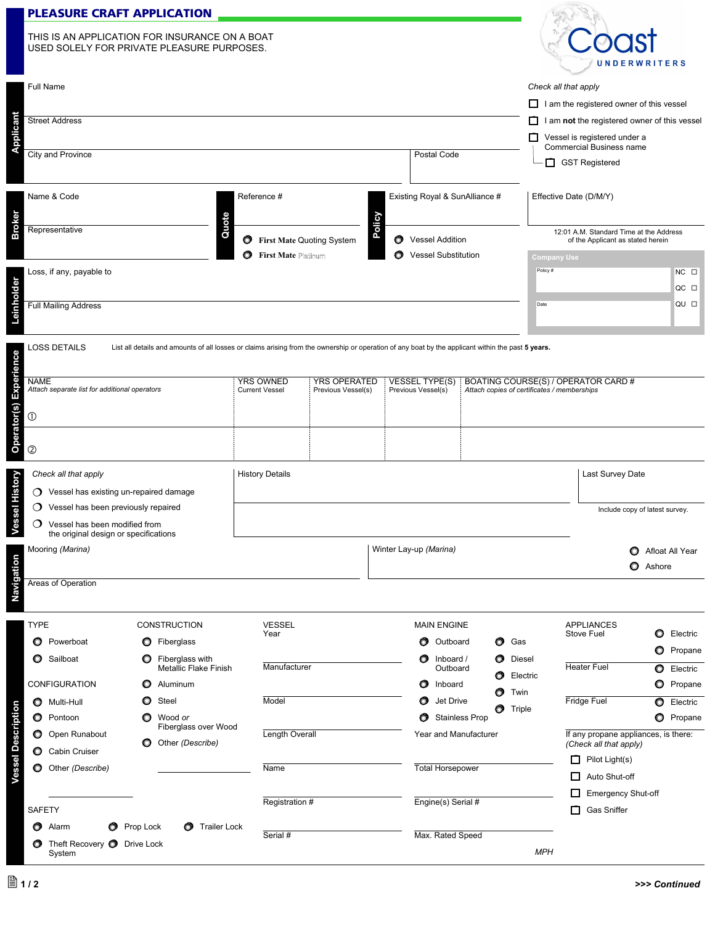## **PLEASURE CRAFT APPLICATION**

|               | <b>PLEASURE CRAFT APPLICATION</b>                                                            |                                      |                   |                                |                                                                              |                |  |
|---------------|----------------------------------------------------------------------------------------------|--------------------------------------|-------------------|--------------------------------|------------------------------------------------------------------------------|----------------|--|
|               | THIS IS AN APPLICATION FOR INSURANCE ON A BOAT<br>USED SOLELY FOR PRIVATE PLEASURE PURPOSES. |                                      |                   |                                | <b>UNDERWRITERS</b>                                                          |                |  |
|               | Full Name                                                                                    |                                      |                   |                                | Check all that apply                                                         |                |  |
|               |                                                                                              |                                      |                   |                                | I am the registered owner of this vessel<br>□                                |                |  |
|               | <b>Street Address</b>                                                                        |                                      |                   |                                | I am not the registered owner of this vessel<br>◻                            |                |  |
| Applicant     |                                                                                              |                                      |                   |                                | Vessel is registered under a<br>□<br><b>Commercial Business name</b>         |                |  |
|               | <b>City and Province</b>                                                                     |                                      |                   | Postal Code                    | <b>GST Registered</b><br>П                                                   |                |  |
|               | Name & Code                                                                                  | Reference #                          |                   | Existing Royal & SunAlliance # | Effective Date (D/M/Y)                                                       |                |  |
| <b>Broker</b> | Quote<br>Representative                                                                      | First Mate Quoting System<br>$\circ$ | Policy<br>$\circ$ | <b>Vessel Addition</b>         | 12:01 A.M. Standard Time at the Address<br>of the Applicant as stated herein |                |  |
|               |                                                                                              | <b>First Mate Platinum</b><br>Ο      | o                 | <b>Vessel Substitution</b>     | <b>Company Use</b>                                                           |                |  |
|               | Loss, if any, payable to                                                                     |                                      |                   |                                | Policy #                                                                     | $NC$ $\square$ |  |
|               |                                                                                              |                                      |                   |                                |                                                                              | $OC$ $\square$ |  |
| Leinholder    | <b>Full Mailing Address</b>                                                                  |                                      |                   |                                | Date                                                                         | QU O           |  |
|               |                                                                                              |                                      |                   |                                |                                                                              |                |  |

| S DETAILS | List all details and amounts of all losses or claims arising from the ownership or operation of any boat by the applicant within the past 5 years. |
|-----------|----------------------------------------------------------------------------------------------------------------------------------------------------|
|           |                                                                                                                                                    |

| <b>LOSS DETAILS</b><br>List all details and amounts of all losses or claims arising from the ownership or operation of any boat by the applicant within the past 5 years. |                                           |                                           |                                             |                                                                                    |                                |
|---------------------------------------------------------------------------------------------------------------------------------------------------------------------------|-------------------------------------------|-------------------------------------------|---------------------------------------------|------------------------------------------------------------------------------------|--------------------------------|
| <b>NAME</b><br>Attach separate list for additional operators                                                                                                              | <b>YRS OWNED</b><br><b>Current Vessel</b> | <b>YRS OPERATED</b><br>Previous Vessel(s) | <b>VESSEL TYPE(S)</b><br>Previous Vessel(s) | BOATING COURSE(S) / OPERATOR CARD #<br>Attach copies of certificates / memberships |                                |
| $^\circledR$                                                                                                                                                              |                                           |                                           |                                             |                                                                                    |                                |
| Operator(s)<br>$^{\circledR}$                                                                                                                                             |                                           |                                           |                                             |                                                                                    |                                |
| <b>History Details</b><br>Check all that apply                                                                                                                            |                                           |                                           |                                             |                                                                                    | Last Survey Date               |
| Vessel has existing un-repaired damage<br>$\circ$                                                                                                                         |                                           |                                           |                                             |                                                                                    |                                |
| Vessel has been previously repaired<br>$\circ$                                                                                                                            |                                           |                                           |                                             |                                                                                    | Include copy of latest survey. |
| ◯<br>Vessel has been modified from<br>the original design or specifications                                                                                               |                                           |                                           |                                             |                                                                                    |                                |
| Mooring (Marina)                                                                                                                                                          |                                           | Winter Lay-up (Marina)                    |                                             |                                                                                    | Afloat All Year<br>O           |
|                                                                                                                                                                           |                                           |                                           |                                             |                                                                                    | O<br>Ashore                    |
| Areas of Operation                                                                                                                                                        |                                           |                                           |                                             |                                                                                    |                                |

| <b>TYPE</b>                  |                                              | <b>CONSTRUCTION</b>                                    | <b>VESSEL</b>  | <b>MAIN ENGINE</b>                                        | <b>APPLIANCES</b>                                               |
|------------------------------|----------------------------------------------|--------------------------------------------------------|----------------|-----------------------------------------------------------|-----------------------------------------------------------------|
|                              | <b>O</b> Powerboat                           | O<br>Fiberglass                                        | Year           | $\bullet$<br>$\bullet$<br>Gas<br>Outboard                 | O<br>Electric<br>Stove Fuel                                     |
|                              | <b>O</b> Sailboat                            | O<br>Fiberglass with<br>Metallic Flake Finish          | Manufacturer   | $\bullet$<br>$\bullet$<br>Inboard /<br>Diesel<br>Outboard | $\circ$<br>Propane<br><b>Heater Fuel</b><br>$\circ$<br>Electric |
|                              | <b>CONFIGURATION</b>                         | Aluminum<br>O                                          |                | $\bullet$<br>Electric<br>O<br>Inboard                     | O<br>Propane                                                    |
| $\circ$                      | Multi-Hull                                   | O<br>Steel                                             | Model          | O<br>Twin<br>$\circ$<br>Jet Drive<br>O<br>Triple          | <b>Fridge Fuel</b><br>$\circ$<br>Electric                       |
|                              | <b>O</b> Pontoon                             | O<br>Wood or                                           |                | $\bullet$<br><b>Stainless Prop</b>                        | $\circ$<br>Propane                                              |
| essel Description<br>$\circ$ | Open Runabout                                | Fiberglass over Wood<br>Other (Describe)<br>O          | Length Overall | Year and Manufacturer                                     | If any propane appliances, is there:<br>(Check all that apply)  |
| $\circ$                      | Cabin Cruiser                                |                                                        | Name           |                                                           | □<br>Pilot Light(s)                                             |
| $\circ$                      | Other (Describe)                             |                                                        |                | <b>Total Horsepower</b>                                   | $\Box$<br>Auto Shut-off                                         |
|                              |                                              |                                                        |                |                                                           | П<br><b>Emergency Shut-off</b>                                  |
| SAFETY                       |                                              |                                                        | Registration # | Engine(s) Serial #                                        | П<br><b>Gas Sniffer</b>                                         |
| O                            | Alarm                                        | <b>Trailer Lock</b><br><b>O</b> Prop Lock<br>$\bullet$ | Serial #       | Max. Rated Speed                                          |                                                                 |
| σ                            | Theft Recovery <b>O</b> Drive Lock<br>System |                                                        |                | <b>MPH</b>                                                |                                                                 |